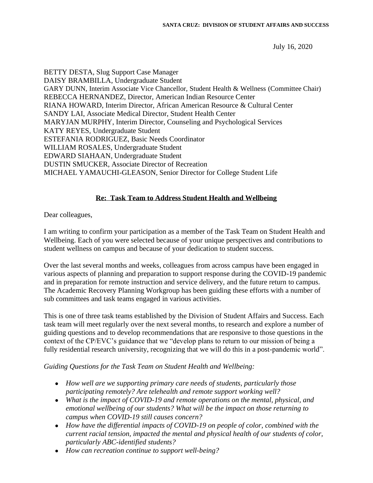July 16, 2020

BETTY DESTA, Slug Support Case Manager DAISY BRAMBILLA, Undergraduate Student GARY DUNN, Interim Associate Vice Chancellor, Student Health & Wellness (Committee Chair) REBECCA HERNANDEZ, Director, American Indian Resource Center RIANA HOWARD, Interim Director, African American Resource & Cultural Center SANDY LAI, Associate Medical Director, Student Health Center MARYJAN MURPHY, Interim Director, Counseling and Psychological Services KATY REYES, Undergraduate Student ESTEFANIA RODRIGUEZ, Basic Needs Coordinator WILLIAM ROSALES, Undergraduate Student EDWARD SIAHAAN, Undergraduate Student DUSTIN SMUCKER, Associate Director of Recreation MICHAEL YAMAUCHI-GLEASON, Senior Director for College Student Life

## **Re: Task Team to Address Student Health and Wellbeing**

Dear colleagues,

I am writing to confirm your participation as a member of the Task Team on Student Health and Wellbeing. Each of you were selected because of your unique perspectives and contributions to student wellness on campus and because of your dedication to student success.

Over the last several months and weeks, colleagues from across campus have been engaged in various aspects of planning and preparation to support response during the COVID-19 pandemic and in preparation for remote instruction and service delivery, and the future return to campus. The Academic Recovery Planning Workgroup has been guiding these efforts with a number of sub committees and task teams engaged in various activities.

This is one of three task teams established by the Division of Student Affairs and Success. Each task team will meet regularly over the next several months, to research and explore a number of guiding questions and to develop recommendations that are responsive to those questions in the context of the CP/EVC's guidance that we "develop plans to return to our mission of being a fully residential research university, recognizing that we will do this in a post-pandemic world".

## *Guiding Questions for the Task Team on Student Health and Wellbeing:*

- *How well are we supporting primary care needs of students, particularly those participating remotely? Are telehealth and remote support working well?*
- *What is the impact of COVID-19 and remote operations on the mental, physical, and emotional wellbeing of our students? What will be the impact on those returning to campus when COVID-19 still causes concern?*
- How have the differential impacts of COVID-19 on people of color, combined with the *current racial tension, impacted the mental and physical health of our students of color, particularly ABC-identified students?*
- *How can recreation continue to support well-being?*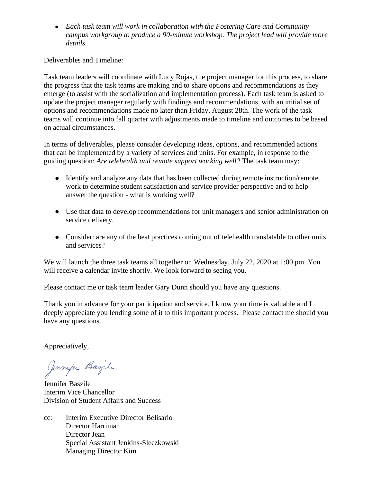● *Each task team will work in collaboration with the Fostering Care and Community campus workgroup to produce a 90-minute workshop. The project lead will provide more details.*

Deliverables and Timeline:

Task team leaders will coordinate with Lucy Rojas, the project manager for this process, to share the progress that the task teams are making and to share options and recommendations as they emerge (to assist with the socialization and implementation process). Each task team is asked to update the project manager regularly with findings and recommendations, with an initial set of options and recommendations made no later than Friday, August 28th. The work of the task teams will continue into fall quarter with adjustments made to timeline and outcomes to be based on actual circumstances.

In terms of deliverables, please consider developing ideas, options, and recommended actions that can be implemented by a variety of services and units. For example, in response to the guiding question: *Are telehealth and remote support working well?* The task team may:

- Identify and analyze any data that has been collected during remote instruction/remote work to determine student satisfaction and service provider perspective and to help answer the question - what is working well?
- Use that data to develop recommendations for unit managers and senior administration on service delivery.
- Consider: are any of the best practices coming out of telehealth translatable to other units and services?

We will launch the three task teams all together on Wednesday, July 22, 2020 at 1:00 pm. You will receive a calendar invite shortly. We look forward to seeing you.

Please contact me or task team leader Gary Dunn should you have any questions.

Thank you in advance for your participation and service. I know your time is valuable and I deeply appreciate you lending some of it to this important process. Please contact me should you have any questions.

Appreciatively,

Jennyer Bagile

Jennifer Baszile Interim Vice Chancellor Division of Student Affairs and Success

cc: Interim Executive Director Belisario Director Harriman Director Jean Special Assistant Jenkins-Sleczkowski Managing Director Kim